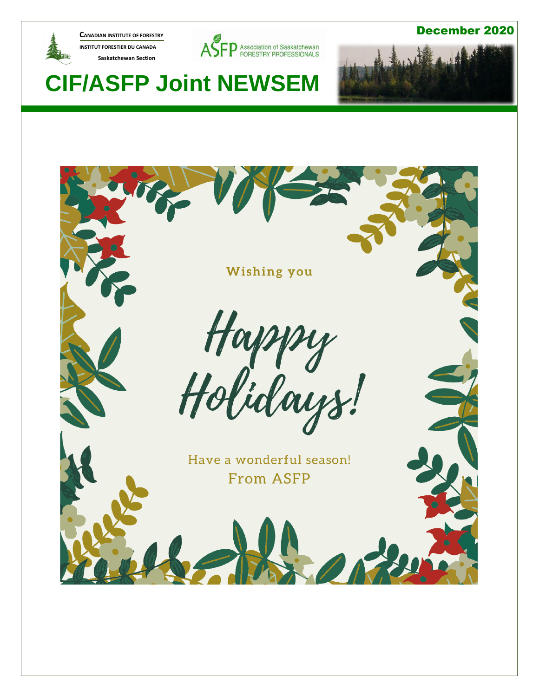

**CANADIAN INSTITUTE OF FORESTRY INSTITUT FORESTIER DU CANADA Saskatchewan Section** 



December 2020



# **CIF/ASFP Joint NEWSEM**

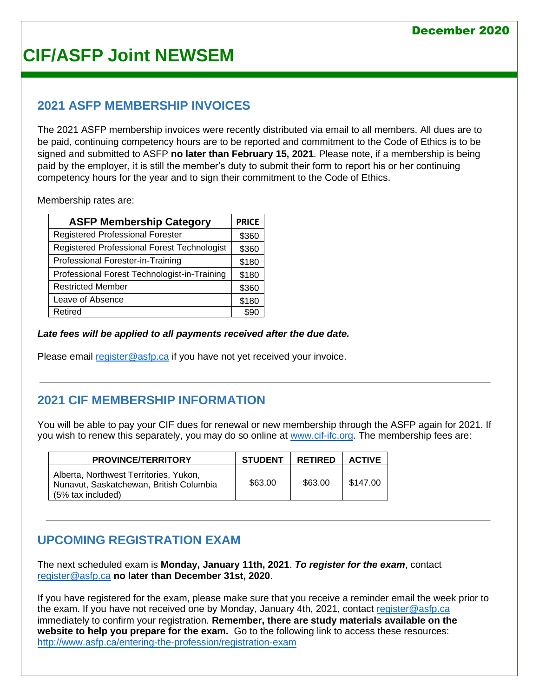## **2021 ASFP MEMBERSHIP INVOICES**

The 2021 ASFP membership invoices were recently distributed via email to all members. All dues are to be paid, continuing competency hours are to be reported and commitment to the Code of Ethics is to be signed and submitted to ASFP **no later than February 15, 2021**. Please note, if a membership is being paid by the employer, it is still the member's duty to submit their form to report his or her continuing competency hours for the year and to sign their commitment to the Code of Ethics.

Membership rates are:

| <b>ASFP Membership Category</b>              | <b>PRICE</b> |
|----------------------------------------------|--------------|
| <b>Registered Professional Forester</b>      | \$360        |
| Registered Professional Forest Technologist  | \$360        |
| Professional Forester-in-Training            | \$180        |
| Professional Forest Technologist-in-Training | \$180        |
| <b>Restricted Member</b>                     | \$360        |
| Leave of Absence                             | \$180        |
| Retired                                      |              |

### *Late fees will be applied to all payments received after the due date.*

Please email [register@asfp.ca](mailto:register@asfp.ca) if you have not yet received your invoice.

## **2021 CIF MEMBERSHIP INFORMATION**

You will be able to pay your CIF dues for renewal or new membership through the ASFP again for 2021. If you wish to renew this separately, you may do so online at [www.cif-ifc.org.](http://www.cif-ifc.org/) The membership fees are:

| <b>PROVINCE/TERRITORY</b>                                                                                | <b>STUDENT</b> | <b>RETIRED</b> | <b>ACTIVE</b> |
|----------------------------------------------------------------------------------------------------------|----------------|----------------|---------------|
| Alberta, Northwest Territories, Yukon,<br>Nunavut, Saskatchewan, British Columbia<br>$(5%$ tax included) | \$63.00        | \$63.00        | \$147.00      |

## **UPCOMING REGISTRATION EXAM**

The next scheduled exam is **Monday, January 11th, 2021**. *To register for the exam*, contact [register@asfp.ca](mailto:register@asfp.ca) **no later than December 31st, 2020**.

If you have registered for the exam, please make sure that you receive a reminder email the week prior to the exam. If you have not received one by Monday, January 4th, 2021, contact [register@asfp.ca](mailto:register@asfp.ca) immediately to confirm your registration. **Remember, there are study materials available on the website to help you prepare for the exam.** Go to the following link to access these resources: <http://www.asfp.ca/entering-the-profession/registration-exam>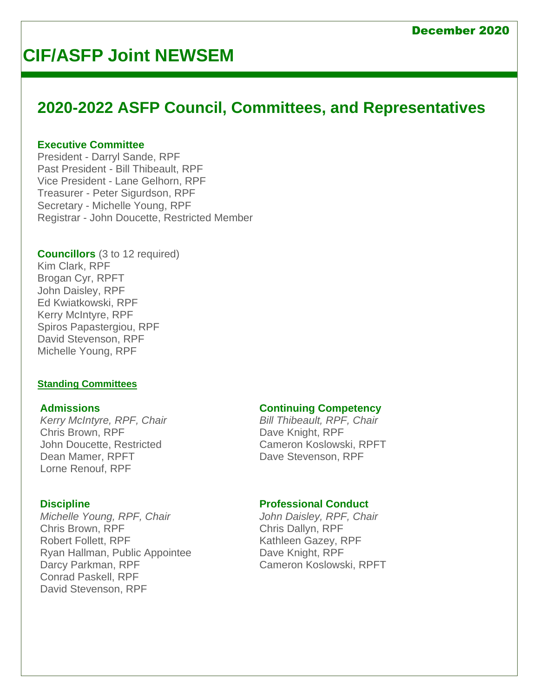# **2020-2022 ASFP Council, Committees, and Representatives**

#### **Executive Committee**

President - Darryl Sande, RPF Past President - Bill Thibeault, RPF Vice President - Lane Gelhorn, RPF Treasurer - Peter Sigurdson, RPF Secretary - Michelle Young, RPF Registrar - John Doucette, Restricted Member

### **Councillors** (3 to 12 required)

Kim Clark, RPF Brogan Cyr, RPFT John Daisley, RPF Ed Kwiatkowski, RPF Kerry McIntyre, RPF Spiros Papastergiou, RPF David Stevenson, RPF Michelle Young, RPF

### **Standing Committees**

#### **Admissions**

*Kerry McIntyre, RPF, Chair* Chris Brown, RPF John Doucette, Restricted Dean Mamer, RPFT Lorne Renouf, RPF

### **Discipline**

*Michelle Young, RPF, Chair* Chris Brown, RPF Robert Follett, RPF Ryan Hallman, Public Appointee Darcy Parkman, RPF Conrad Paskell, RPF David Stevenson, RPF

#### **Continuing Competency**

*Bill Thibeault, RPF, Chair* Dave Knight, RPF Cameron Koslowski, RPFT Dave Stevenson, RPF

### **Professional Conduct**

*John Daisley, RPF, Chair* Chris Dallyn, RPF Kathleen Gazey, RPF Dave Knight, RPF Cameron Koslowski, RPFT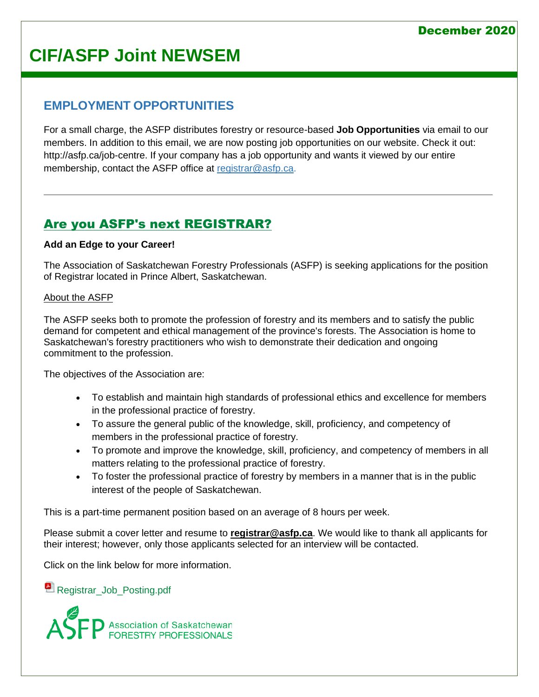## **EMPLOYMENT OPPORTUNITIES**

For a small charge, the ASFP distributes forestry or resource-based **Job Opportunities** via email to our members. In addition to this email, we are now posting job opportunities on our website. Check it out: [http://asfp.ca/job-centre.](http://asfp.ca/job-centre) If your company has a job opportunity and wants it viewed by our entire membership, contact the ASFP office at [registrar@asfp.ca.](mailto:registrar@asfp.ca)

# [Are you ASFP's next REGISTRAR?](http://www.asfp.ca/job-centre/64-job-3)

### **Add an Edge to your Career!**

The Association of Saskatchewan Forestry Professionals (ASFP) is seeking applications for the position of Registrar located in Prince Albert, Saskatchewan.

### About the ASFP

The ASFP seeks both to promote the profession of forestry and its members and to satisfy the public demand for competent and ethical management of the province's forests. The Association is home to Saskatchewan's forestry practitioners who wish to demonstrate their dedication and ongoing commitment to the profession.

The objectives of the Association are:

- To establish and maintain high standards of professional ethics and excellence for members in the professional practice of forestry.
- To assure the general public of the knowledge, skill, proficiency, and competency of members in the professional practice of forestry.
- To promote and improve the knowledge, skill, proficiency, and competency of members in all matters relating to the professional practice of forestry.
- To foster the professional practice of forestry by members in a manner that is in the public interest of the people of Saskatchewan.

This is a part-time permanent position based on an average of 8 hours per week.

Please submit a cover letter and resume to **[registrar@asfp.ca](mailto:registrar@asfp.ca)**. We would like to thank all applicants for their interest; however, only those applicants selected for an interview will be contacted.

Click on the link below for more information.

**[Registrar\\_Job\\_Posting.pdf](http://www.asfp.ca/images/Job_Postings/Registrar_Job_Posting.pdf)** 

Association of Saskatchewan<br>FORESTRY PROFESSIONALS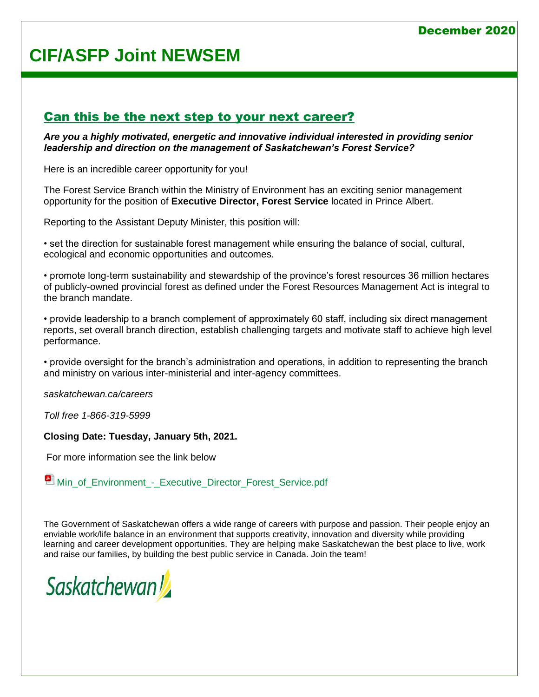### December 2020

# **CIF/ASFP Joint NEWSEM**

## [Can this be the next step to your next career?](http://www.asfp.ca/job-centre/71-job-1)

*Are you a highly motivated, energetic and innovative individual interested in providing senior leadership and direction on the management of Saskatchewan's Forest Service?*

Here is an incredible career opportunity for you!

The Forest Service Branch within the Ministry of Environment has an exciting senior management opportunity for the position of **Executive Director, Forest Service** located in Prince Albert.

Reporting to the Assistant Deputy Minister, this position will:

• set the direction for sustainable forest management while ensuring the balance of social, cultural, ecological and economic opportunities and outcomes.

• promote long-term sustainability and stewardship of the province's forest resources 36 million hectares of publicly-owned provincial forest as defined under the Forest Resources Management Act is integral to the branch mandate.

• provide leadership to a branch complement of approximately 60 staff, including six direct management reports, set overall branch direction, establish challenging targets and motivate staff to achieve high level performance.

• provide oversight for the branch's administration and operations, in addition to representing the branch and ministry on various inter-ministerial and inter-agency committees.

*saskatchewan.ca/careers*

*Toll free 1-866-319-5999*

**Closing Date: Tuesday, January 5th, 2021.**

For more information see the link below

**Min** of Environment - Executive Director Forest Service.pdf

The Government of Saskatchewan offers a wide range of careers with purpose and passion. Their people enjoy an enviable work/life balance in an environment that supports creativity, innovation and diversity while providing learning and career development opportunities. They are helping make Saskatchewan the best place to live, work and raise our families, by building the best public service in Canada. Join the team!

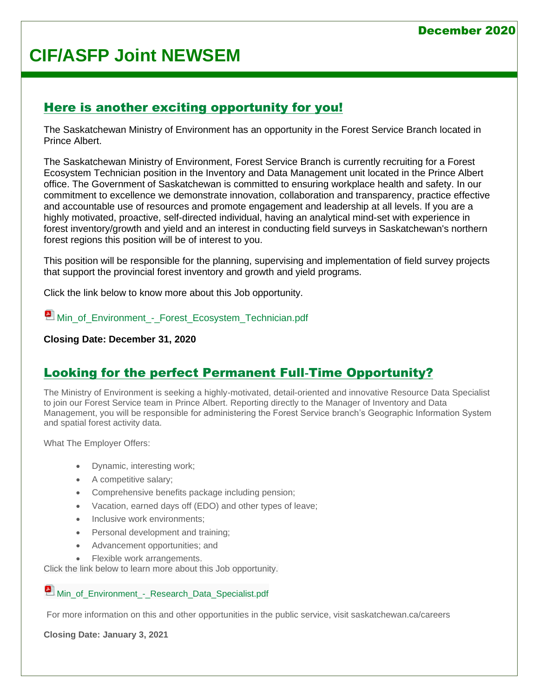## [Here is another exciting opportunity for you!](http://www.asfp.ca/job-centre/43-job-5)

The Saskatchewan Ministry of Environment has an opportunity in the Forest Service Branch located in Prince Albert.

The Saskatchewan Ministry of Environment, Forest Service Branch is currently recruiting for a Forest Ecosystem Technician position in the Inventory and Data Management unit located in the Prince Albert office. The Government of Saskatchewan is committed to ensuring workplace health and safety. In our commitment to excellence we demonstrate innovation, collaboration and transparency, practice effective and accountable use of resources and promote engagement and leadership at all levels. If you are a highly motivated, proactive, self-directed individual, having an analytical mind-set with experience in forest inventory/growth and yield and an interest in conducting field surveys in Saskatchewan's northern forest regions this position will be of interest to you.

This position will be responsible for the planning, supervising and implementation of field survey projects that support the provincial forest inventory and growth and yield programs.

Click the link below to know more about this Job opportunity.

**Min** of Environment\_-\_Forest\_Ecosystem\_Technician.pdf

#### **Closing Date: December 31, 2020**

## [Looking for the perfect Permanent Full](http://www.asfp.ca/job-centre/76-job-2)‐Time Opportunity?

The Ministry of Environment is seeking a highly-motivated, detail-oriented and innovative Resource Data Specialist to join our Forest Service team in Prince Albert. Reporting directly to the Manager of Inventory and Data Management, you will be responsible for administering the Forest Service branch's Geographic Information System and spatial forest activity data.

What The Employer Offers:

- Dynamic, interesting work;
- A competitive salary;
- Comprehensive benefits package including pension;
- Vacation, earned days off (EDO) and other types of leave;
- Inclusive work environments:
- Personal development and training;
- Advancement opportunities; and
- Flexible work arrangements.

Click the link below to learn more about this Job opportunity.

**Min\_of\_Environment - Research Data Specialist.pdf** 

For more information on this and other opportunities in the public service, visit saskatchewan.ca/careers

**Closing Date: January 3, 2021**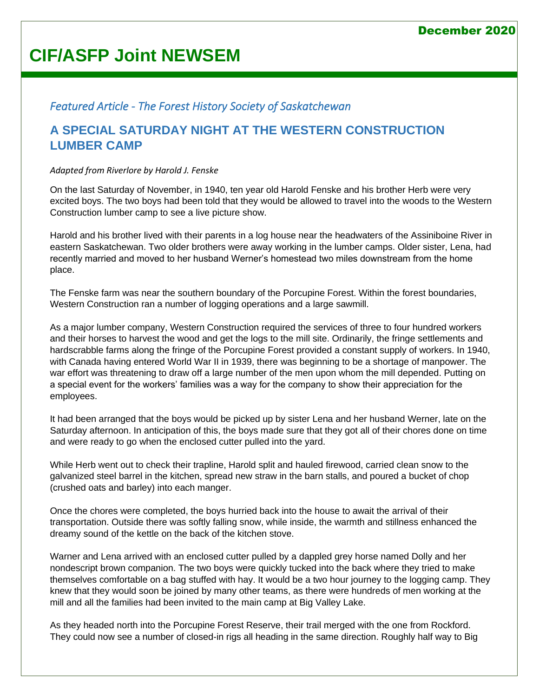## *Featured Article - The Forest History Society of Saskatchewan*

## **A SPECIAL SATURDAY NIGHT AT THE WESTERN CONSTRUCTION LUMBER CAMP**

#### *Adapted from Riverlore by Harold J. Fenske*

On the last Saturday of November, in 1940, ten year old Harold Fenske and his brother Herb were very excited boys. The two boys had been told that they would be allowed to travel into the woods to the Western Construction lumber camp to see a live picture show.

Harold and his brother lived with their parents in a log house near the headwaters of the Assiniboine River in eastern Saskatchewan. Two older brothers were away working in the lumber camps. Older sister, Lena, had recently married and moved to her husband Werner's homestead two miles downstream from the home place.

The Fenske farm was near the southern boundary of the Porcupine Forest. Within the forest boundaries, Western Construction ran a number of logging operations and a large sawmill.

As a major lumber company, Western Construction required the services of three to four hundred workers and their horses to harvest the wood and get the logs to the mill site. Ordinarily, the fringe settlements and hardscrabble farms along the fringe of the Porcupine Forest provided a constant supply of workers. In 1940, with Canada having entered World War II in 1939, there was beginning to be a shortage of manpower. The war effort was threatening to draw off a large number of the men upon whom the mill depended. Putting on a special event for the workers' families was a way for the company to show their appreciation for the employees.

It had been arranged that the boys would be picked up by sister Lena and her husband Werner, late on the Saturday afternoon. In anticipation of this, the boys made sure that they got all of their chores done on time and were ready to go when the enclosed cutter pulled into the yard.

While Herb went out to check their trapline, Harold split and hauled firewood, carried clean snow to the galvanized steel barrel in the kitchen, spread new straw in the barn stalls, and poured a bucket of chop (crushed oats and barley) into each manger.

Once the chores were completed, the boys hurried back into the house to await the arrival of their transportation. Outside there was softly falling snow, while inside, the warmth and stillness enhanced the dreamy sound of the kettle on the back of the kitchen stove.

Warner and Lena arrived with an enclosed cutter pulled by a dappled grey horse named Dolly and her nondescript brown companion. The two boys were quickly tucked into the back where they tried to make themselves comfortable on a bag stuffed with hay. It would be a two hour journey to the logging camp. They knew that they would soon be joined by many other teams, as there were hundreds of men working at the mill and all the families had been invited to the main camp at Big Valley Lake.

As they headed north into the Porcupine Forest Reserve, their trail merged with the one from Rockford. They could now see a number of closed-in rigs all heading in the same direction. Roughly half way to Big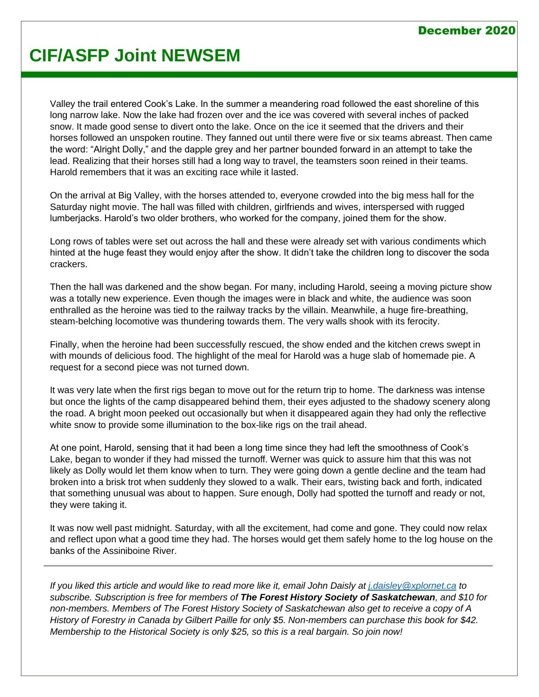### December 2020

# **CIF/ASFP Joint NEWSEM**

Valley the trail entered Cook's Lake. In the summer a meandering road followed the east shoreline of this long narrow lake. Now the lake had frozen over and the ice was covered with several inches of packed snow. It made good sense to divert onto the lake. Once on the ice it seemed that the drivers and their horses followed an unspoken routine. They fanned out until there were five or six teams abreast. Then came the word: "Alright Dolly," and the dapple grey and her partner bounded forward in an attempt to take the lead. Realizing that their horses still had a long way to travel, the teamsters soon reined in their teams. Harold remembers that it was an exciting race while it lasted.

On the arrival at Big Valley, with the horses attended to, everyone crowded into the big mess hall for the Saturday night movie. The hall was filled with children, girlfriends and wives, interspersed with rugged lumberjacks. Harold's two older brothers, who worked for the company, joined them for the show.

Long rows of tables were set out across the hall and these were already set with various condiments which hinted at the huge feast they would enjoy after the show. It didn't take the children long to discover the soda crackers.

Then the hall was darkened and the show began. For many, including Harold, seeing a moving picture show was a totally new experience. Even though the images were in black and white, the audience was soon enthralled as the heroine was tied to the railway tracks by the villain. Meanwhile, a huge fire-breathing, steam-belching locomotive was thundering towards them. The very walls shook with its ferocity.

Finally, when the heroine had been successfully rescued, the show ended and the kitchen crews swept in with mounds of delicious food. The highlight of the meal for Harold was a huge slab of homemade pie. A request for a second piece was not turned down.

It was very late when the first rigs began to move out for the return trip to home. The darkness was intense but once the lights of the camp disappeared behind them, their eyes adjusted to the shadowy scenery along the road. A bright moon peeked out occasionally but when it disappeared again they had only the reflective white snow to provide some illumination to the box-like rigs on the trail ahead.

At one point, Harold, sensing that it had been a long time since they had left the smoothness of Cook's Lake, began to wonder if they had missed the turnoff. Werner was quick to assure him that this was not likely as Dolly would let them know when to turn. They were going down a gentle decline and the team had broken into a brisk trot when suddenly they slowed to a walk. Their ears, twisting back and forth, indicated that something unusual was about to happen. Sure enough, Dolly had spotted the turnoff and ready or not, they were taking it.

It was now well past midnight. Saturday, with all the excitement, had come and gone. They could now relax and reflect upon what a good time they had. The horses would get them safely home to the log house on the banks of the Assiniboine River.

*If you liked this article and would like to read more like it, email John Daisly at [j.daisley@xplornet.ca](mailto:j.daisley@xplornet.ca) to subscribe. Subscription is free for members of The Forest History Society of Saskatchewan, and \$10 for non-members. Members of The Forest History Society of Saskatchewan also get to receive a copy of A History of Forestry in Canada by Gilbert Paille for only \$5. Non-members can purchase this book for \$42. Membership to the Historical Society is only \$25, so this is a real bargain. So join now!*